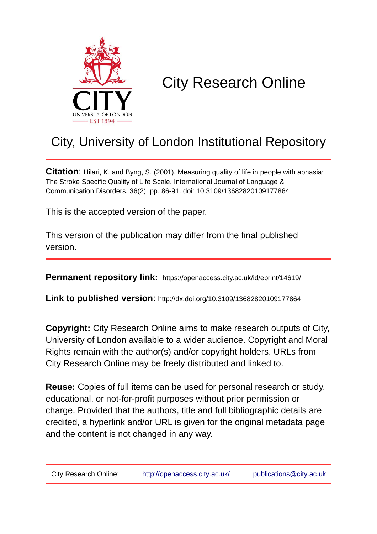

# City Research Online

## City, University of London Institutional Repository

**Citation**: Hilari, K. and Byng, S. (2001). Measuring quality of life in people with aphasia: The Stroke Specific Quality of Life Scale. International Journal of Language & Communication Disorders, 36(2), pp. 86-91. doi: 10.3109/13682820109177864

This is the accepted version of the paper.

This version of the publication may differ from the final published version.

**Permanent repository link:** https://openaccess.city.ac.uk/id/eprint/14619/

**Link to published version**: http://dx.doi.org/10.3109/13682820109177864

**Copyright:** City Research Online aims to make research outputs of City, University of London available to a wider audience. Copyright and Moral Rights remain with the author(s) and/or copyright holders. URLs from City Research Online may be freely distributed and linked to.

**Reuse:** Copies of full items can be used for personal research or study, educational, or not-for-profit purposes without prior permission or charge. Provided that the authors, title and full bibliographic details are credited, a hyperlink and/or URL is given for the original metadata page and the content is not changed in any way.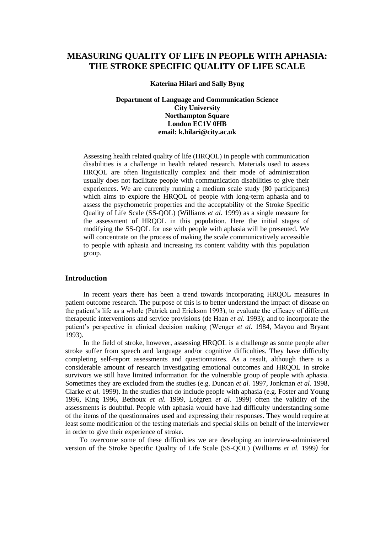### **MEASURING QUALITY OF LIFE IN PEOPLE WITH APHASIA: THE STROKE SPECIFIC QUALITY OF LIFE SCALE**

**Katerina Hilari and Sally Byng**

#### **Department of Language and Communication Science City University Northampton Square London EC1V 0HB email: [k.hilari@city.ac.uk](mailto:k.hilari@city.ac.uk)**

Assessing health related quality of life (HRQOL) in people with communication disabilities is a challenge in health related research. Materials used to assess HRQOL are often linguistically complex and their mode of administration usually does not facilitate people with communication disabilities to give their experiences. We are currently running a medium scale study (80 participants) which aims to explore the HRQOL of people with long-term aphasia and to assess the psychometric properties and the acceptability of the Stroke Specific Quality of Life Scale (SS-QOL) (Williams *et al.* 1999) as a single measure for the assessment of HRQOL in this population. Here the initial stages of modifying the SS-QOL for use with people with aphasia will be presented. We will concentrate on the process of making the scale communicatively accessible to people with aphasia and increasing its content validity with this population group.

#### **Introduction**

In recent years there has been a trend towards incorporating HRQOL measures in patient outcome research. The purpose of this is to better understand the impact of disease on the patient's life as a whole (Patrick and Erickson 1993), to evaluate the efficacy of different therapeutic interventions and service provisions (de Haan *et al.* 1993); and to incorporate the patient's perspective in clinical decision making (Wenger *et al.* 1984, Mayou and Bryant 1993).

In the field of stroke, however, assessing HRQOL is a challenge as some people after stroke suffer from speech and language and/or cognitive difficulties. They have difficulty completing self-report assessments and questionnaires. As a result, although there is a considerable amount of research investigating emotional outcomes and HRQOL in stroke survivors we still have limited information for the vulnerable group of people with aphasia. Sometimes they are excluded from the studies (e.g. Duncan *et al.* 1997, Jonkman *et al.* 1998, Clarke *et al.* 1999). In the studies that do include people with aphasia (e.g. Foster and Young 1996, King 1996, Bethoux *et al.* 1999, Lofgren *et al.* 1999) often the validity of the assessments is doubtful. People with aphasia would have had difficulty understanding some of the items of the questionnaires used and expressing their responses. They would require at least some modification of the testing materials and special skills on behalf of the interviewer in order to give their experience of stroke.

To overcome some of these difficulties we are developing an interview-administered version of the Stroke Specific Quality of Life Scale (SS-QOL) (Williams *et al.* 1999*)* for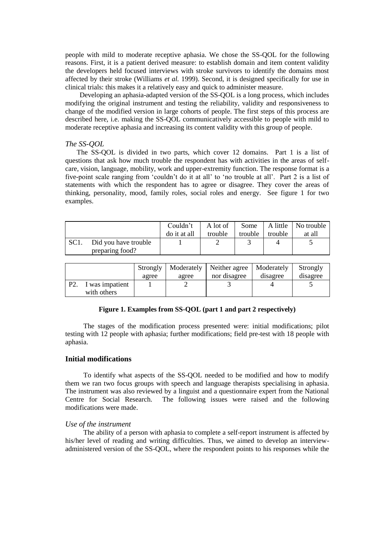people with mild to moderate receptive aphasia. We chose the SS-QOL for the following reasons. First, it is a patient derived measure: to establish domain and item content validity the developers held focused interviews with stroke survivors to identify the domains most affected by their stroke (Williams *et al.* 1999). Second, it is designed specifically for use in clinical trials: this makes it a relatively easy and quick to administer measure.

Developing an aphasia-adapted version of the SS-QOL is a long process, which includes modifying the original instrument and testing the reliability, validity and responsiveness to change of the modified version in large cohorts of people. The first steps of this process are described here, i.e. making the SS-QOL communicatively accessible to people with mild to moderate receptive aphasia and increasing its content validity with this group of people.

#### *The SS-QOL*

The SS-QOL is divided in two parts, which cover 12 domains. Part 1 is a list of questions that ask how much trouble the respondent has with activities in the areas of selfcare, vision, language, mobility, work and upper-extremity function. The response format is a five-point scale ranging from 'couldn't do it at all' to 'no trouble at all'. Part 2 is a list of statements with which the respondent has to agree or disagree. They cover the areas of thinking, personality, mood, family roles, social roles and energy. See figure 1 for two examples.

|                   |                                         | Couldn't<br>do it at all | A lot of<br>trouble | Some<br>trouble | trouble | A little   No trouble<br>at all |
|-------------------|-----------------------------------------|--------------------------|---------------------|-----------------|---------|---------------------------------|
| SC <sub>1</sub> . | Did you have trouble<br>preparing food? |                          |                     |                 |         |                                 |

|              |                 | Strongly | Moderately | Neither agree   Moderately |          | Strongly |
|--------------|-----------------|----------|------------|----------------------------|----------|----------|
|              |                 | agree    | agree      | nor disagree               | disagree | disagree |
| $\mathbf{p}$ | I was impatient |          |            |                            |          |          |
|              | with others     |          |            |                            |          |          |

#### **Figure 1. Examples from SS-QOL (part 1 and part 2 respectively)**

The stages of the modification process presented were: initial modifications; pilot testing with 12 people with aphasia; further modifications; field pre-test with 18 people with aphasia.

#### **Initial modifications**

To identify what aspects of the SS-QOL needed to be modified and how to modify them we ran two focus groups with speech and language therapists specialising in aphasia. The instrument was also reviewed by a linguist and a questionnaire expert from the National Centre for Social Research. The following issues were raised and the following modifications were made.

#### *Use of the instrument*

The ability of a person with aphasia to complete a self-report instrument is affected by his/her level of reading and writing difficulties. Thus, we aimed to develop an interviewadministered version of the SS-QOL, where the respondent points to his responses while the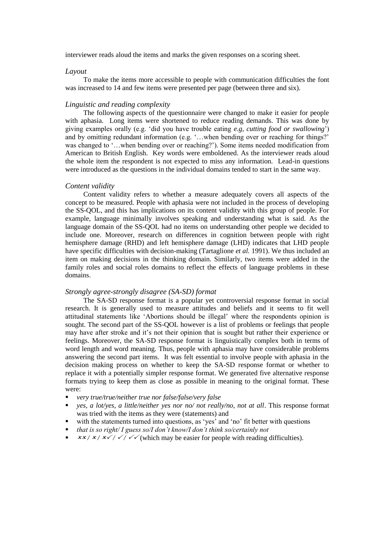interviewer reads aloud the items and marks the given responses on a scoring sheet.

#### *Layout*

To make the items more accessible to people with communication difficulties the font was increased to 14 and few items were presented per page (between three and six).

#### *Linguistic and reading complexity*

The following aspects of the questionnaire were changed to make it easier for people with aphasia. Long items were shortened to reduce reading demands. This was done by giving examples orally (e.g. 'did you have trouble eating *e.g, cutting food or swallowing*') and by omitting redundant information (e.g. '…when bending over or reaching for things?' was changed to '…when bending over or reaching?'). Some items needed modification from American to British English. Key words were emboldened. As the interviewer reads aloud the whole item the respondent is not expected to miss any information. Lead-in questions were introduced as the questions in the individual domains tended to start in the same way.

#### *Content validity*

Content validity refers to whether a measure adequately covers all aspects of the concept to be measured. People with aphasia were not included in the process of developing the SS-QOL, and this has implications on its content validity with this group of people. For example, language minimally involves speaking and understanding what is said. As the language domain of the SS-QOL had no items on understanding other people we decided to include one. Moreover, research on differences in cognition between people with right hemisphere damage (RHD) and left hemisphere damage (LHD) indicates that LHD people have specific difficulties with decision-making (Tartaglione *et al.* 1991). We thus included an item on making decisions in the thinking domain. Similarly, two items were added in the family roles and social roles domains to reflect the effects of language problems in these domains.

#### *Strongly agree-strongly disagree (SA-SD) format*

The SA-SD response format is a popular yet controversial response format in social research. It is generally used to measure attitudes and beliefs and it seems to fit well attitudinal statements like 'Abortions should be illegal' where the respondents opinion is sought. The second part of the SS-QOL however is a list of problems or feelings that people may have after stroke and it's not their opinion that is sought but rather their experience or feelings. Moreover, the SA-SD response format is linguistically complex both in terms of word length and word meaning. Thus, people with aphasia may have considerable problems answering the second part items. It was felt essential to involve people with aphasia in the decision making process on whether to keep the SA-SD response format or whether to replace it with a potentially simpler response format. We generated five alternative response formats trying to keep them as close as possible in meaning to the original format. These were:

- *very true/true/neither true nor false/false/very false*
- *yes, a lot/yes, a little/neither yes nor no/ not really/no, not at all*. This response format was tried with the items as they were (statements) and
- with the statements turned into questions, as 'yes' and 'no' fit better with questions
- *that is so right/ I guess so/I don't know/I don't think so/certainly not*
- $\frac{\mathbf{x} \times \mathbf{x}}{\mathbf{x} \times \mathbf{y}}$   $\frac{\mathbf{x} \times \mathbf{y}}{\mathbf{y} \times \mathbf{y}}$  (which may be easier for people with reading difficulties).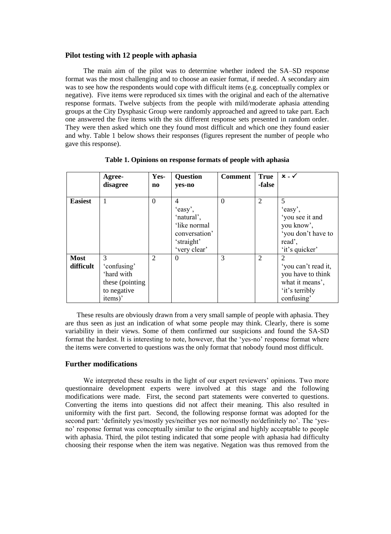#### **Pilot testing with 12 people with aphasia**

The main aim of the pilot was to determine whether indeed the SA–SD response format was the most challenging and to choose an easier format, if needed. A secondary aim was to see how the respondents would cope with difficult items (e.g. conceptually complex or negative). Five items were reproduced six times with the original and each of the alternative response formats. Twelve subjects from the people with mild/moderate aphasia attending groups at the City Dysphasic Group were randomly approached and agreed to take part. Each one answered the five items with the six different response sets presented in random order. They were then asked which one they found most difficult and which one they found easier and why. Table 1 below shows their responses (figures represent the number of people who gave this response).

|                          | Agree-<br>disagree                                                                       | Yes-<br>$\mathbf{n}\mathbf{o}$ | <b>Question</b><br>yes-no                                                                 | <b>Comment</b> | <b>True</b><br>-false | $x - \checkmark$                                                                                 |
|--------------------------|------------------------------------------------------------------------------------------|--------------------------------|-------------------------------------------------------------------------------------------|----------------|-----------------------|--------------------------------------------------------------------------------------------------|
| <b>Easiest</b>           | $\mathbf{1}$                                                                             | $\boldsymbol{0}$               | 4<br>'easy',<br>'natural',<br>'like normal<br>conversation'<br>'straight'<br>'very clear' | $\Omega$       | $\overline{2}$        | 5<br>'easy',<br>'you see it and<br>you know',<br>'you don't have to<br>read'.<br>'it's quicker'  |
| <b>Most</b><br>difficult | 3<br>'confusing'<br>'hard with<br>these (pointing)<br>to negative<br>items) <sup>2</sup> | $\overline{2}$                 | $\theta$                                                                                  | 3              | $\overline{2}$        | 2<br>'you can't read it,<br>you have to think<br>what it means',<br>'it's terribly<br>confusing' |

**Table 1. Opinions on response formats of people with aphasia**

These results are obviously drawn from a very small sample of people with aphasia. They are thus seen as just an indication of what some people may think. Clearly, there is some variability in their views. Some of them confirmed our suspicions and found the SA-SD format the hardest. It is interesting to note, however, that the 'yes-no' response format where the items were converted to questions was the only format that nobody found most difficult.

#### **Further modifications**

We interpreted these results in the light of our expert reviewers' opinions. Two more questionnaire development experts were involved at this stage and the following modifications were made. First, the second part statements were converted to questions. Converting the items into questions did not affect their meaning. This also resulted in uniformity with the first part. Second, the following response format was adopted for the second part: 'definitely yes/mostly yes/neither yes nor no/mostly no/definitely no'. The 'yesno' response format was conceptually similar to the original and highly acceptable to people with aphasia. Third, the pilot testing indicated that some people with aphasia had difficulty choosing their response when the item was negative. Negation was thus removed from the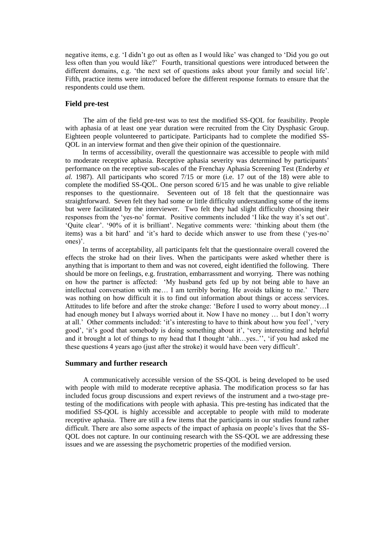negative items, e.g. 'I didn't go out as often as I would like' was changed to 'Did you go out less often than you would like?' Fourth, transitional questions were introduced between the different domains, e.g. 'the next set of questions asks about your family and social life'. Fifth, practice items were introduced before the different response formats to ensure that the respondents could use them.

#### **Field pre-test**

The aim of the field pre-test was to test the modified SS-QOL for feasibility. People with aphasia of at least one year duration were recruited from the City Dysphasic Group. Eighteen people volunteered to participate. Participants had to complete the modified SS-QOL in an interview format and then give their opinion of the questionnaire.

In terms of accessibility, overall the questionnaire was accessible to people with mild to moderate receptive aphasia. Receptive aphasia severity was determined by participants' performance on the receptive sub-scales of the Frenchay Aphasia Screening Test (Enderby *et al.* 1987). All participants who scored 7/15 or more (i.e. 17 out of the 18) were able to complete the modified SS-QOL. One person scored 6/15 and he was unable to give reliable responses to the questionnaire. Seventeen out of 18 felt that the questionnaire was straightforward. Seven felt they had some or little difficulty understanding some of the items but were facilitated by the interviewer. Two felt they had slight difficulty choosing their responses from the 'yes-no' format. Positive comments included 'I like the way it's set out'. 'Quite clear'. '90% of it is brilliant'. Negative comments were: 'thinking about them (the items) was a bit hard' and 'it's hard to decide which answer to use from these ('yes-no' ones)'.

In terms of acceptability, all participants felt that the questionnaire overall covered the effects the stroke had on their lives. When the participants were asked whether there is anything that is important to them and was not covered, eight identified the following. There should be more on feelings, e.g. frustration, embarrassment and worrying. There was nothing on how the partner is affected: 'My husband gets fed up by not being able to have an intellectual conversation with me… I am terribly boring. He avoids talking to me.' There was nothing on how difficult it is to find out information about things or access services. Attitudes to life before and after the stroke change: 'Before I used to worry about money…I had enough money but I always worried about it. Now I have no money ... but I don't worry at all.' Other comments included: 'it's interesting to have to think about how you feel', 'very good', 'it's good that somebody is doing something about it', 'very interesting and helpful and it brought a lot of things to my head that I thought 'ahh…yes..'', 'if you had asked me these questions 4 years ago (just after the stroke) it would have been very difficult'.

#### **Summary and further research**

A communicatively accessible version of the SS-QOL is being developed to be used with people with mild to moderate receptive aphasia. The modification process so far has included focus group discussions and expert reviews of the instrument and a two-stage pretesting of the modifications with people with aphasia. This pre-testing has indicated that the modified SS-QOL is highly accessible and acceptable to people with mild to moderate receptive aphasia. There are still a few items that the participants in our studies found rather difficult. There are also some aspects of the impact of aphasia on people's lives that the SS-QOL does not capture. In our continuing research with the SS-QOL we are addressing these issues and we are assessing the psychometric properties of the modified version.